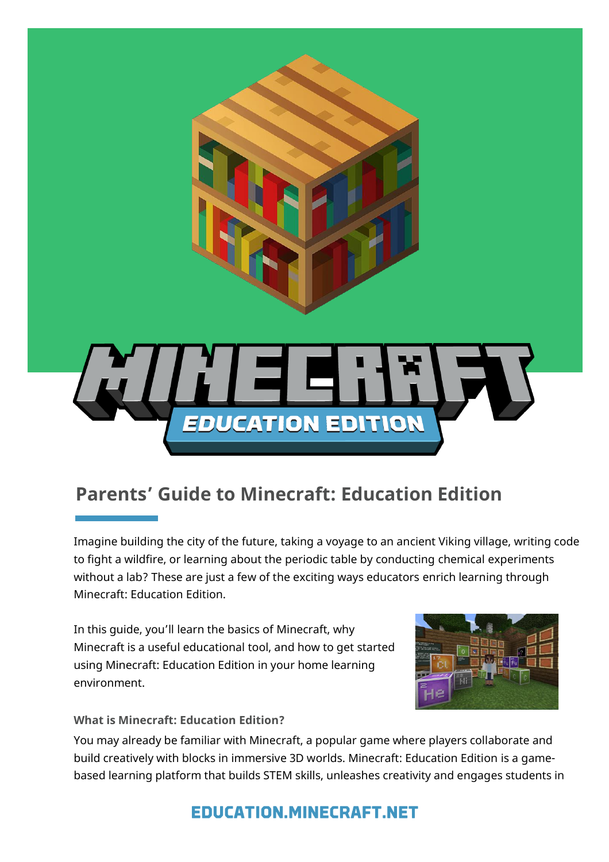

# **Parents' Guide to Minecraft: Education Edition**

Imagine building the city of the future, taking a voyage to an ancient Viking village, writing code to fight a wildfire, or learning about the periodic table by conducting chemical experiments without a lab? These are just a few of the exciting ways educators enrich learning through Minecraft: Education Edition.

In this guide, you'll learn the basics of Minecraft, why Minecraft is a useful educational tool, and how to get started using Minecraft: Education Edition in your home learning environment.



**What is Minecraft: Education Edition?**

You may already be familiar with Minecraft, a popular game where players collaborate and build creatively with blocks in immersive 3D worlds. Minecraft: Education Edition is a gamebased learning platform that builds STEM skills, unleashes creativity and engages students in

## **EDUCATION.MINECRAFT.NET**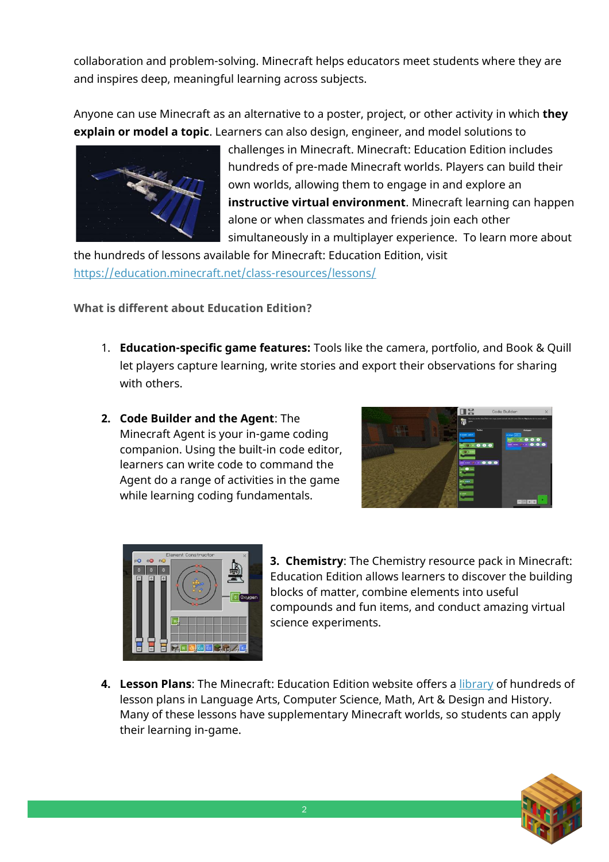collaboration and problem-solving. Minecraft helps educators meet students where they are and inspires deep, meaningful learning across subjects.

Anyone can use Minecraft as an alternative to a poster, project, or other activity in which **they explain or model a topic**. Learners can also design, engineer, and model solutions to



challenges in Minecraft. Minecraft: Education Edition includes hundreds of pre-made Minecraft worlds. Players can build their own worlds, allowing them to engage in and explore an **instructive virtual environment**. Minecraft learning can happen alone or when classmates and friends join each other simultaneously in a multiplayer experience. To learn more about

the hundreds of lessons available for Minecraft: Education Edition, visit <https://education.minecraft.net/class-resources/lessons/>

**What is different about Education Edition?** 

- 1. **Education-specific game features:** Tools like the camera, portfolio, and Book & Quill let players capture learning, write stories and export their observations for sharing with others.
- **2. Code Builder and the Agent**: The Minecraft Agent is your in-game coding companion. Using the built-in code editor, learners can write code to command the Agent do a range of activities in the game while learning coding fundamentals.





**3. Chemistry**: The Chemistry resource pack in Minecraft: Education Edition allows learners to discover the building blocks of matter, combine elements into useful compounds and fun items, and conduct amazing virtual science experiments.

**4. Lesson Plans**: The Minecraft: Education Edition website offers a [library](https://education.minecraft.net/class-resources/lessons/) of hundreds of lesson plans in Language Arts, Computer Science, Math, Art & Design and History. Many of these lessons have supplementary Minecraft worlds, so students can apply their learning in-game.

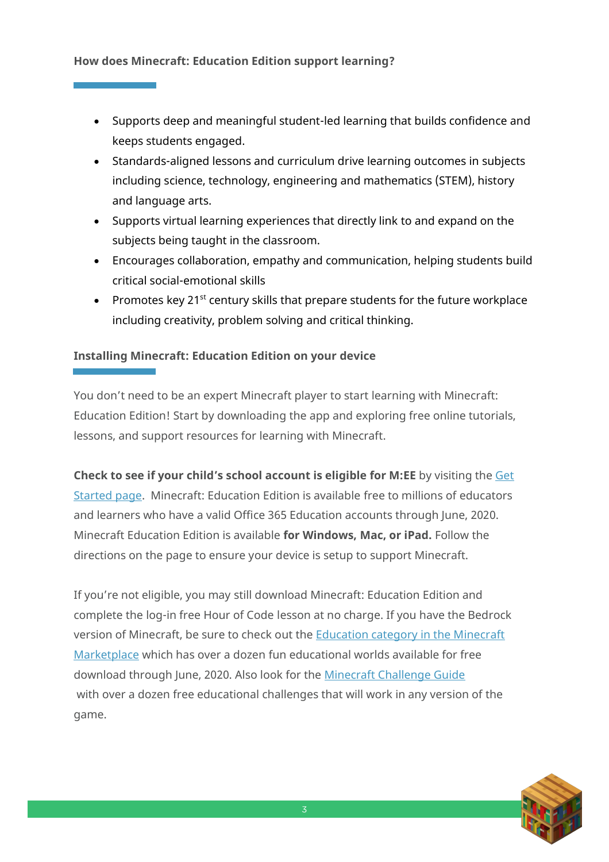#### **How does Minecraft: Education Edition support learning?**

- Supports deep and meaningful student-led learning that builds confidence and keeps students engaged.
- Standards-aligned lessons and curriculum drive learning outcomes in subjects including science, technology, engineering and mathematics (STEM), history and language arts.
- Supports virtual learning experiences that directly link to and expand on the subjects being taught in the classroom.
- Encourages collaboration, empathy and communication, helping students build critical social-emotional skills
- Promotes key 21<sup>st</sup> century skills that prepare students for the future workplace including creativity, problem solving and critical thinking.

### **Installing Minecraft: Education Edition on your device**

You don't need to be an expert Minecraft player to start learning with Minecraft: Education Edition! Start by downloading the app and exploring free online tutorials, lessons, and support resources for learning with Minecraft.

**Check to see if your child's school account is eligible for M:EE** by visiting the [Get](https://education.minecraft.net/get-started/)  [Started page.](https://education.minecraft.net/get-started/) Minecraft: Education Edition is available free to millions of educators and learners who have a valid Office 365 Education accounts through June, 2020. Minecraft Education Edition is available **for Windows, Mac, or iPad.** Follow the directions on the page to ensure your device is setup to support Minecraft.

If you're not eligible, you may still download Minecraft: Education Edition and complete the log-in free Hour of Code lesson at no charge. If you have the Bedrock version of Minecraft, be sure to check out the [Education category in the Minecraft](https://www.minecraft.net/en-us/marketplace/education)  [Marketplace](https://www.minecraft.net/en-us/marketplace/education) which has over a dozen fun educational worlds available for free download through June, 2020. Also look for the [Minecraft Challenge Guide](https://education.microsoft.com/en-us/resource/d1080168) with over a dozen free educational challenges that will work in any version of the game.